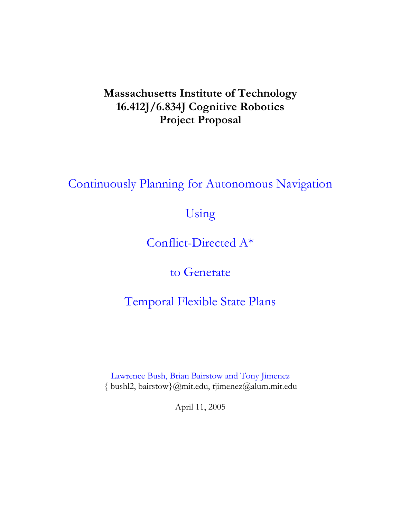# **Massachusetts Institute of Technology 16.412J/6.834J Cognitive Robotics Project Proposal**

Continuously Planning for Autonomous Navigation

Using

Conflict-Directed A\*

to Generate

Temporal Flexible State Plans

Lawrence Bush, Brian Bairstow and Tony Jimenez { bushl2, bairstow}@mit.edu, tjimenez@alum.mit.edu

April 11, 2005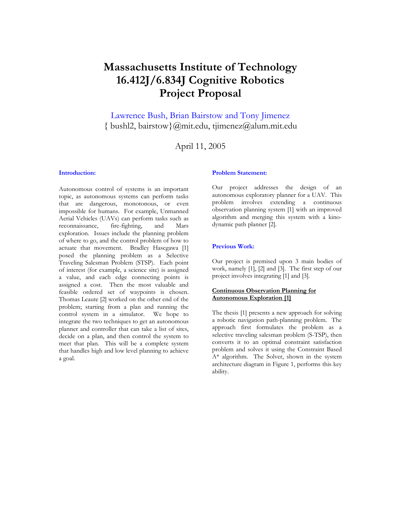# **Massachusetts Institute of Technology 16.412J/6.834J Cognitive Robotics Project Proposal**

Lawrence Bush, Brian Bairstow and Tony Jimenez  $\{$  bushl2, bairstow $\}$ @mit.edu, tjimenez@alum.mit.edu

April 11, 2005

#### **Introduction:**

Autonomous control of systems is an important topic, as autonomous systems can perform tasks that are dangerous, monotonous, or even impossible for humans. For example, Unmanned Aerial Vehicles (UAVs) can perform tasks such as reconnaissance, fire-fighting, and Mars exploration. Issues include the planning problem of where to go, and the control problem of how to actuate that movement. Bradley Hasegawa [1] posed the planning problem as a Selective Traveling Salesman Problem (STSP). Each point of interest (for example, a science site) is assigned a value, and each edge connecting points is assigned a cost. Then the most valuable and feasible ordered set of waypoints is chosen. Thomas Leaute [2] worked on the other end of the problem; starting from a plan and running the control system in a simulator. We hope to integrate the two techniques to get an autonomous planner and controller that can take a list of sites, decide on a plan, and then control the system to meet that plan. This will be a complete system that handles high and low level planning to achieve a goal.

#### **Problem Statement:**

Our project addresses the design of an autonomous exploratory planner for a UAV. This problem involves extending a continuous observation planning system [1] with an improved algorithm and merging this system with a kinodynamic path planner [2].

#### **Previous Work:**

Our project is premised upon 3 main bodies of work, namely [1], [2] and [3]. The first step of our project involves integrating [1] and [3].

### **Continuous Observation Planning for Autonomous Exploration [1]**

The thesis [1] presents a new approach for solving a robotic navigation path-planning problem. The approach first formulates the problem as a selective traveling salesman problem (S-TSP), then converts it to an optimal constraint satisfaction problem and solves it using the Constraint Based  $A^*$  algorithm. The Solver, shown in the system architecture diagram in Figure 1, performs this key ability.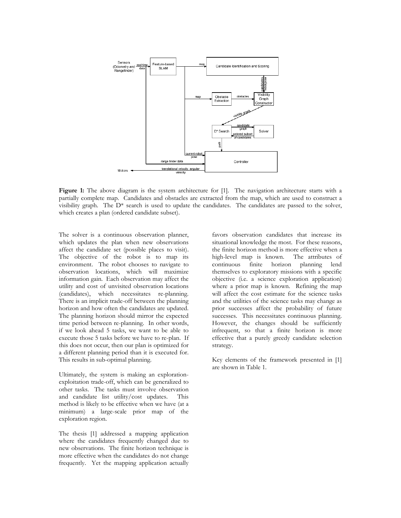

**Figure 1:** The above diagram is the system architecture for [1]. The navigation architecture starts with a partially complete map. Candidates and obstacles are extracted from the map, which are used to construct a visibility graph. The  $D^*$  search is used to update the candidates. The candidates are passed to the solver, which creates a plan (ordered candidate subset).

The solver is a continuous observation planner, which updates the plan when new observations affect the candidate set (possible places to visit). The objective of the robot is to map its environment. The robot chooses to navigate to observation locations, which will maximize information gain. Each observation may affect the utility and cost of unvisited observation locations (candidates), which necessitates re-planning. There is an implicit trade-off between the planning horizon and how often the candidates are updated. The planning horizon should mirror the expected time period between re-planning. In other words, if we look ahead 5 tasks, we want to be able to execute those 5 tasks before we have to re-plan. If this does not occur, then our plan is optimized for a different planning period than it is executed for. This results in sub-optimal planning.

Ultimately, the system is making an explorationexploitation trade-off, which can be generalized to other tasks. The tasks must involve observation and candidate list utility/cost updates. This method is likely to be effective when we have (at a minimum) a large-scale prior map of the exploration region.

The thesis [1] addressed a mapping application where the candidates frequently changed due to new observations. The finite horizon technique is more effective when the candidates do not change frequently. Yet the mapping application actually favors observation candidates that increase its situational knowledge the most. For these reasons, the finite horizon method is more effective when a high-level map is known. The attributes of continuous finite horizon planning lend themselves to exploratory missions with a specific objective (i.e. a science exploration application) where a prior map is known. Refining the map will affect the cost estimate for the science tasks and the utilities of the science tasks may change as prior successes affect the probability of future successes. This necessitates continuous planning. However, the changes should be sufficiently infrequent, so that a finite horizon is more effective that a purely greedy candidate selection strategy.

Key elements of the framework presented in [1] are shown in Table 1.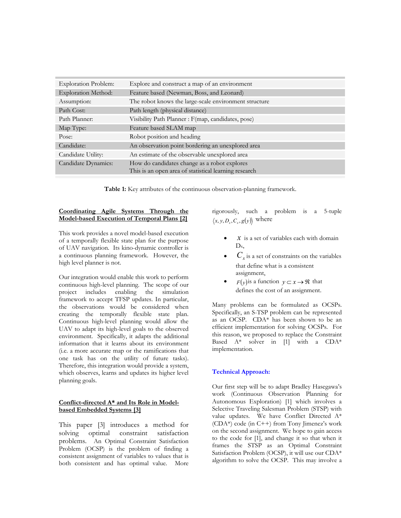| <b>Exploration Problem:</b> | Explore and construct a map of an environment                                                         |
|-----------------------------|-------------------------------------------------------------------------------------------------------|
| <b>Exploration Method:</b>  | Feature based (Newman, Boss, and Leonard)                                                             |
| Assumption:                 | The robot knows the large-scale environment structure                                                 |
| Path Cost:                  | Path length (physical distance)                                                                       |
| Path Planner:               | Visibility Path Planner : F(map, candidates, pose)                                                    |
| Map Type:                   | Feature based SLAM map                                                                                |
| Pose:                       | Robot position and heading                                                                            |
| Candidate:                  | An observation point bordering an unexplored area                                                     |
| Candidate Utility:          | An estimate of the observable unexplored area                                                         |
| Candidate Dynamics:         | How do candidates change as a robot explores<br>This is an open area of statistical learning research |

**Table 1:** Key attributes of the continuous observation-planning framework.

### **Coordinating Agile Systems Through the Model-based Execution of Temporal Plans [2]**

This work provides a novel model-based execution of a temporally flexible state plan for the purpose of UAV navigation. Its kino-dynamic controller is a continuous planning framework. However, the high level planner is not.

Our integration would enable this work to perform continuous high-level planning. The scope of our project includes enabling the simulation framework to accept TFSP updates. In particular, the observations would be considered when creating the temporally flexible state plan. Continuous high-level planning would allow the UAV to adapt its high-level goals to the observed environment. Specifically, it adapts the additional information that it learns about its environment (i.e. a more accurate map or the ramifications that one task has on the utility of future tasks). Therefore, this integration would provide a system, which observes, learns and updates its higher level planning goals.

### **Conflict-directed A\* and Its Role in Modelbased Embedded Systems [3]**

This paper [3] introduces a method for solving optimal constraint satisfaction problems. An Optimal Constraint Satisfaction Problem (OCSP) is the problem of finding a consistent assignment of variables to values that is both consistent and has optimal value. More rigorously, such a problem is a 5-tuple  $\langle x, y, D_x, C_x, g(y) \rangle$  where

- $x$  is a set of variables each with domain  $D<sub>x</sub>$
- $C<sub>x</sub>$  is a set of constraints on the variables that define what is a consistent assignment,
- $F(y)$  is a function  $y \subset x \rightarrow \Re$  that defines the cost of an assignment.

Many problems can be formulated as OCSPs. Specifically, an S-TSP problem can be represented as an OCSP. CDA\* has been shown to be an efficient implementation for solving OCSPs. For this reason, we proposed to replace the Constraint Based A\* solver in [1] with a CDA\* implementation.

## **Technical Approach:**

Our first step will be to adapt Bradley Hasegawa's work (Continuous Observation Planning for Autonomous Exploration) [1] which involves a Selective Traveling Salesman Problem (STSP) with value updates. We have Conflict Directed A\* (CDA\*) code (in C++) from Tony Jimenez's work on the second assignment. We hope to gain access to the code for [1], and change it so that when it frames the STSP as an Optimal Constraint Satisfaction Problem (OCSP), it will use our CDA\* algorithm to solve the OCSP. This may involve a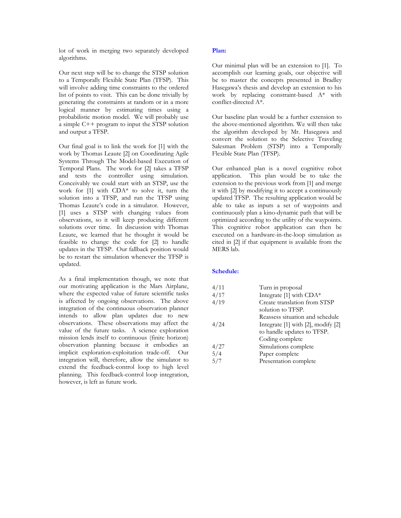lot of work in merging two separately developed algorithms.

Our next step will be to change the STSP solution to a Temporally Flexible State Plan (TFSP). This will involve adding time constraints to the ordered list of points to visit. This can be done trivially by generating the constraints at random or in a more logical manner by estimating times using a probabilistic motion model. We will probably use a simple C++ program to input the STSP solution and output a TFSP.

Our final goal is to link the work for [1] with the work by Thomas Leaute [2] on Coordinating Agile Systems Through The Model-based Execution of Temporal Plans. The work for [2] takes a TFSP and tests the controller using simulation. Conceivably we could start with an STSP, use the work for [1] with CDA\* to solve it, turn the solution into a TFSP, and run the TFSP using Thomas Leaute's code in a simulator. However, [1] uses a STSP with changing values from observations, so it will keep producing different solutions over time. In discussion with Thomas Leaute, we learned that he thought it would be feasible to change the code for [2] to handle updates in the TFSP. Our fallback position would be to restart the simulation whenever the TFSP is updated.

As a final implementation though, we note that our motivating application is the Mars Airplane, where the expected value of future scientific tasks is affected by ongoing observations. The above integration of the continuous observation planner intends to allow plan updates due to new observations. These observations may affect the value of the future tasks. A science exploration mission lends itself to continuous (finite horizon) observation planning because it embodies an implicit exploration-exploitation trade-off. Our integration will, therefore, allow the simulator to extend the feedback-control loop to high level planning. This feedback-control loop integration, however, is left as future work.

## **Plan:**

Our minimal plan will be an extension to [1]. To accomplish our learning goals, our objective will be to master the concepts presented in Bradley Hasegawa's thesis and develop an extension to his work by replacing constraint-based A\* with conflict-directed A\*.

Our baseline plan would be a further extension to the above-mentioned algorithm. We will then take the algorithm developed by Mr. Hasegawa and convert the solution to the Selective Traveling Salesman Problem (STSP) into a Temporally Flexible State Plan (TFSP).

Our enhanced plan is a novel cognitive robot application. This plan would be to take the extension to the previous work from [1] and merge it with [2] by modifying it to accept a continuously updated TFSP. The resulting application would be able to take as inputs a set of waypoints and continuously plan a kino-dynamic path that will be optimized according to the utility of the waypoints. This cognitive robot application can then be executed on a hardware-in-the-loop simulation as cited in [2] if that equipment is available from the MERS lab.

#### **Schedule:**

| 4/11 | Turn in proposal                   |
|------|------------------------------------|
| 4/17 | Integrate [1] with CDA*            |
| 4/19 | Create translation from STSP       |
|      | solution to TFSP.                  |
|      | Reassess situation and schedule    |
| 4/24 | Integrate [1] with [2], modify [2] |
|      | to handle updates to TFSP.         |
|      | Coding complete                    |
| 4/27 | Simulations complete               |
| 5/4  | Paper complete                     |
| 5/7  | Presentation complete              |
|      |                                    |